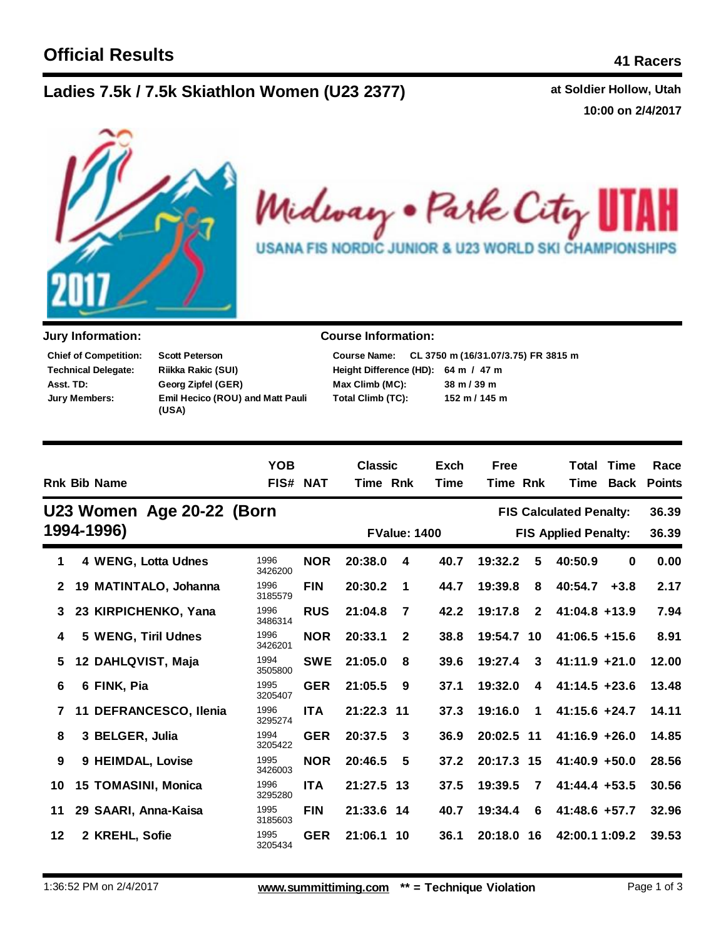## **Lad at Soldier Hollow, Utah ies 7.5k / 7.5k Skiathlon Women (U23 2377)**

**10:00 on 2/4/2017**



Midway . Park City II AH **USANA FIS NORDIC JUNIOR & U23 WORLD SKI CHAMPIONSHIPS** 

| <b>Chief of Competition:</b> | <b>Scott Peterson</b>                            |
|------------------------------|--------------------------------------------------|
| <b>Technical Delegate:</b>   | Riikka Rakic (SUI)                               |
| Asst. TD:                    | Georg Zipfel (GER)                               |
| Jury Members:                | <b>Emil Hecico (ROU) and Matt Pauli</b><br>(USA) |

## **Jury Information: Course Information:**

|                                     | Course Name: CL 3750 m (16/31.07/3.75) FR 3815 m |
|-------------------------------------|--------------------------------------------------|
| Height Difference (HD): 64 m / 47 m |                                                  |
| Max Climb (MC):                     | $38 \text{ m} / 39 \text{ m}$                    |
| Total Climb (TC):                   | 152 m / 145 m                                    |

|              |    | <b>Rnk Bib Name</b>        | <b>YOB</b><br><b>FIS# NAT</b> |            | <b>Classic</b><br>Time Rnk |                | Exch<br>Time        | <b>Free</b><br>Time Rnk |              | Total                          | <b>Time</b><br>Time Back | Race<br><b>Points</b> |
|--------------|----|----------------------------|-------------------------------|------------|----------------------------|----------------|---------------------|-------------------------|--------------|--------------------------------|--------------------------|-----------------------|
|              |    | U23 Women Age 20-22 (Born  |                               |            |                            |                |                     |                         |              | <b>FIS Calculated Penalty:</b> |                          | 36.39                 |
|              |    | 1994-1996)                 |                               |            |                            |                | <b>FValue: 1400</b> |                         |              | <b>FIS Applied Penalty:</b>    |                          | 36.39                 |
| 1            |    | 4 WENG, Lotta Udnes        | 1996<br>3426200               | <b>NOR</b> | 20:38.0                    | 4              | 40.7                | 19:32.2                 | 5            | 40:50.9                        | $\bf{0}$                 | 0.00                  |
| $\mathbf{2}$ |    | 19 MATINTALO, Johanna      | 1996<br>3185579               | <b>FIN</b> | 20:30.2                    | 1              | 44.7                | 19:39.8                 | 8            | 40:54.7                        | $+3.8$                   | 2.17                  |
| 3            |    | 23 KIRPICHENKO, Yana       | 1996<br>3486314               | <b>RUS</b> | 21:04.8                    | $\overline{7}$ | 42.2                | 19:17.8                 | $\mathbf{2}$ | $41:04.8 + 13.9$               |                          | 7.94                  |
| 4            |    | 5 WENG, Tiril Udnes        | 1996<br>3426201               | <b>NOR</b> | 20:33.1                    | $\mathbf{2}$   | 38.8                | 19:54.7                 | 10           | $41:06.5 +15.6$                |                          | 8.91                  |
| 5            |    | 12 DAHLQVIST, Maja         | 1994<br>3505800               | <b>SWE</b> | 21:05.0                    | 8              | 39.6                | 19:27.4                 | 3            | $41:11.9 +21.0$                |                          | 12.00                 |
| 6            |    | 6 FINK, Pia                | 1995<br>3205407               | <b>GER</b> | 21:05.5                    | 9              | 37.1                | 19:32.0                 | 4            | $41:14.5 + 23.6$               |                          | 13.48                 |
| 7            | 11 | <b>DEFRANCESCO, Ilenia</b> | 1996<br>3295274               | <b>ITA</b> | 21:22.3                    | - 11           | 37.3                | 19:16.0                 | $\mathbf 1$  | $41:15.6 + 24.7$               |                          | 14.11                 |
| 8            |    | 3 BELGER, Julia            | 1994<br>3205422               | <b>GER</b> | 20:37.5                    | 3              | 36.9                | 20:02.5 11              |              | $41:16.9 + 26.0$               |                          | 14.85                 |
| 9            |    | 9 HEIMDAL, Lovise          | 1995<br>3426003               | <b>NOR</b> | 20:46.5                    | 5              | 37.2                | 20:17.3 15              |              | $41:40.9 +50.0$                |                          | 28.56                 |
| 10           |    | 15 TOMASINI, Monica        | 1996<br>3295280               | <b>ITA</b> | 21:27.5 13                 |                | 37.5                | 19:39.5                 | 7            | $41:44.4 + 53.5$               |                          | 30.56                 |
| 11           |    | 29 SAARI, Anna-Kaisa       | 1995<br>3185603               | <b>FIN</b> | 21:33.6 14                 |                | 40.7                | 19:34.4                 | 6            | 41:48.6 +57.7                  |                          | 32.96                 |
| 12           |    | 2 KREHL, Sofie             | 1995<br>3205434               | <b>GER</b> | 21:06.1                    | 10             | 36.1                | 20:18.0                 | 16           | 42:00.1 1:09.2                 |                          | 39.53                 |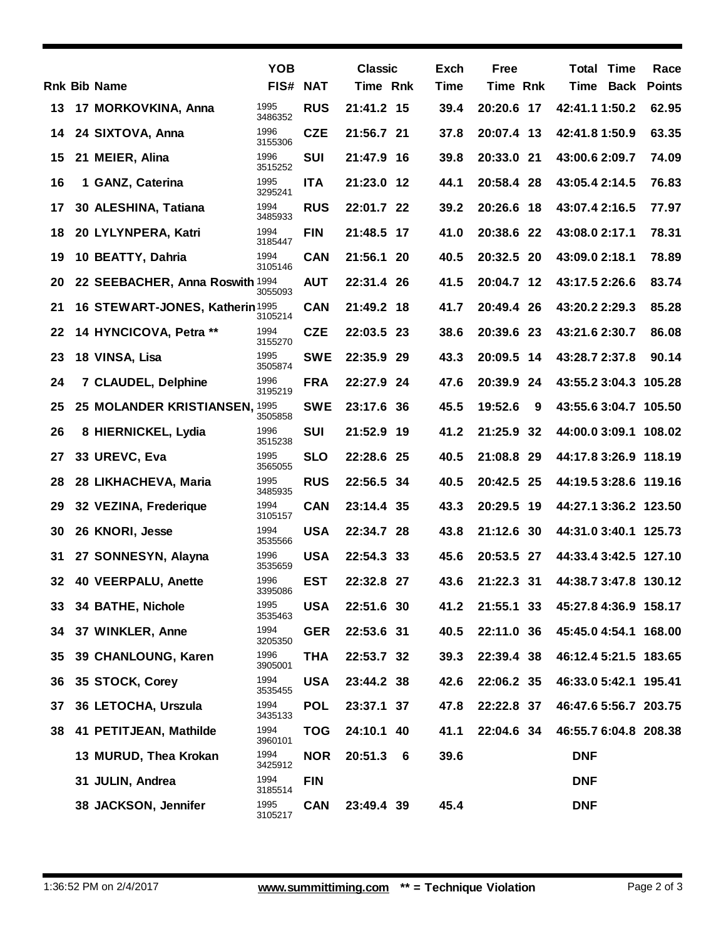|    |                                 | <b>YOB</b>      |            | <b>Classic</b> |     | Exch        | <b>Free</b>     |     | <b>Total Time</b>     | Race          |
|----|---------------------------------|-----------------|------------|----------------|-----|-------------|-----------------|-----|-----------------------|---------------|
|    | <b>Rnk Bib Name</b>             | FIS#            | NAT        | Time Rnk       |     | <b>Time</b> | <b>Time Rnk</b> |     | Time Back             | <b>Points</b> |
| 13 | 17 MORKOVKINA, Anna             | 1995<br>3486352 | <b>RUS</b> | 21:41.2 15     |     | 39.4        | 20:20.6 17      |     | 42:41.1 1:50.2        | 62.95         |
| 14 | 24 SIXTOVA, Anna                | 1996<br>3155306 | <b>CZE</b> | 21:56.7 21     |     | 37.8        | 20:07.4 13      |     | 42:41.8 1:50.9        | 63.35         |
| 15 | 21 MEIER, Alina                 | 1996<br>3515252 | <b>SUI</b> | 21:47.9 16     |     | 39.8        | 20:33.0         | 21  | 43:00.6 2:09.7        | 74.09         |
| 16 | 1 GANZ, Caterina                | 1995<br>3295241 | <b>ITA</b> | 21:23.0 12     |     | 44.1        | 20:58.4 28      |     | 43:05.4 2:14.5        | 76.83         |
| 17 | 30 ALESHINA, Tatiana            | 1994<br>3485933 | <b>RUS</b> | 22:01.7 22     |     | 39.2        | 20:26.6 18      |     | 43:07.4 2:16.5        | 77.97         |
| 18 | 20 LYLYNPERA, Katri             | 1994<br>3185447 | <b>FIN</b> | 21:48.5 17     |     | 41.0        | 20:38.6 22      |     | 43:08.0 2:17.1        | 78.31         |
| 19 | 10 BEATTY, Dahria               | 1994<br>3105146 | <b>CAN</b> | 21:56.1 20     |     | 40.5        | 20:32.5         | 20  | 43:09.0 2:18.1        | 78.89         |
| 20 | 22 SEEBACHER, Anna Roswith 1994 | 3055093         | <b>AUT</b> | 22:31.4 26     |     | 41.5        | 20:04.7 12      |     | 43:17.5 2:26.6        | 83.74         |
| 21 | 16 STEWART-JONES, Katherin 1995 | 3105214         | <b>CAN</b> | 21:49.2 18     |     | 41.7        | 20:49.4 26      |     | 43:20.2 2:29.3        | 85.28         |
| 22 | 14 HYNCICOVA, Petra **          | 1994<br>3155270 | <b>CZE</b> | 22:03.5 23     |     | 38.6        | 20:39.6 23      |     | 43:21.6 2:30.7        | 86.08         |
| 23 | 18 VINSA, Lisa                  | 1995<br>3505874 | <b>SWE</b> | 22:35.9 29     |     | 43.3        | 20:09.5 14      |     | 43:28.7 2:37.8        | 90.14         |
| 24 | <b>7 CLAUDEL, Delphine</b>      | 1996<br>3195219 | <b>FRA</b> | 22:27.9 24     |     | 47.6        | 20:39.9         | 24  | 43:55.2 3:04.3 105.28 |               |
| 25 | 25 MOLANDER KRISTIANSEN, 1995   | 3505858         | <b>SWE</b> | 23:17.6 36     |     | 45.5        | 19:52.6         | 9   | 43:55.6 3:04.7 105.50 |               |
| 26 | 8 HIERNICKEL, Lydia             | 1996<br>3515238 | <b>SUI</b> | 21:52.9 19     |     | 41.2        | 21:25.9         | 32  | 44:00.0 3:09.1 108.02 |               |
| 27 | 33 UREVC, Eva                   | 1995<br>3565055 | <b>SLO</b> | 22:28.6 25     |     | 40.5        | 21:08.8         | -29 | 44:17.8 3:26.9 118.19 |               |
| 28 | 28 LIKHACHEVA, Maria            | 1995<br>3485935 | <b>RUS</b> | 22:56.5 34     |     | 40.5        | 20:42.5 25      |     | 44:19.5 3:28.6 119.16 |               |
| 29 | 32 VEZINA, Frederique           | 1994<br>3105157 | <b>CAN</b> | 23:14.4 35     |     | 43.3        | 20:29.5 19      |     | 44:27.1 3:36.2 123.50 |               |
| 30 | 26 KNORI, Jesse                 | 1994<br>3535566 | <b>USA</b> | 22:34.7 28     |     | 43.8        | 21:12.6 30      |     | 44:31.0 3:40.1 125.73 |               |
| 31 | 27 SONNESYN, Alayna             | 1996<br>3535659 | <b>USA</b> | 22:54.3 33     |     | 45.6        | 20:53.5         | 27  | 44:33.4 3:42.5 127.10 |               |
| 32 | 40 VEERPALU, Anette             | 1996<br>3395086 | <b>EST</b> | 22:32.8 27     |     | 43.6        | 21:22.3 31      |     | 44:38.7 3:47.8 130.12 |               |
| 33 | 34 BATHE, Nichole               | 1995<br>3535463 | <b>USA</b> | 22:51.6 30     |     | 41.2        | 21:55.1 33      |     | 45:27.8 4:36.9 158.17 |               |
| 34 | 37 WINKLER, Anne                | 1994<br>3205350 | <b>GER</b> | 22:53.6 31     |     | 40.5        | 22:11.0 36      |     | 45:45.0 4:54.1 168.00 |               |
| 35 | 39 CHANLOUNG, Karen             | 1996<br>3905001 | <b>THA</b> | 22:53.7 32     |     | 39.3        | 22:39.4 38      |     | 46:12.4 5:21.5 183.65 |               |
| 36 | 35 STOCK, Corey                 | 1994<br>3535455 | <b>USA</b> | 23:44.2 38     |     | 42.6        | 22:06.2 35      |     | 46:33.0 5:42.1 195.41 |               |
| 37 | 36 LETOCHA, Urszula             | 1994<br>3435133 | <b>POL</b> | 23:37.1 37     |     | 47.8        | 22:22.8 37      |     | 46:47.6 5:56.7 203.75 |               |
| 38 | 41 PETITJEAN, Mathilde          | 1994<br>3960101 | <b>TOG</b> | 24:10.1 40     |     | 41.1        | 22:04.6 34      |     | 46:55.7 6:04.8 208.38 |               |
|    | 13 MURUD, Thea Krokan           | 1994<br>3425912 | <b>NOR</b> | 20:51.3        | - 6 | 39.6        |                 |     | <b>DNF</b>            |               |
|    | 31 JULIN, Andrea                | 1994<br>3185514 | <b>FIN</b> |                |     |             |                 |     | <b>DNF</b>            |               |
|    | 38 JACKSON, Jennifer            | 1995<br>3105217 | <b>CAN</b> | 23:49.4 39     |     | 45.4        |                 |     | <b>DNF</b>            |               |